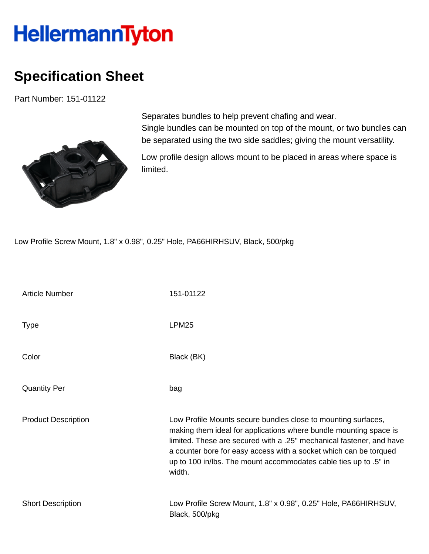## **HellermannTyton**

## **Specification Sheet**

Part Number: 151-01122



Separates bundles to help prevent chafing and wear. Single bundles can be mounted on top of the mount, or two bundles can be separated using the two side saddles; giving the mount versatility.

Low profile design allows mount to be placed in areas where space is limited.

Low Profile Screw Mount, 1.8" x 0.98", 0.25" Hole, PA66HIRHSUV, Black, 500/pkg

| <b>Article Number</b>      | 151-01122                                                                                                                                                                                                                                                                                                                                                     |
|----------------------------|---------------------------------------------------------------------------------------------------------------------------------------------------------------------------------------------------------------------------------------------------------------------------------------------------------------------------------------------------------------|
| <b>Type</b>                | LPM <sub>25</sub>                                                                                                                                                                                                                                                                                                                                             |
| Color                      | Black (BK)                                                                                                                                                                                                                                                                                                                                                    |
| <b>Quantity Per</b>        | bag                                                                                                                                                                                                                                                                                                                                                           |
| <b>Product Description</b> | Low Profile Mounts secure bundles close to mounting surfaces,<br>making them ideal for applications where bundle mounting space is<br>limited. These are secured with a .25" mechanical fastener, and have<br>a counter bore for easy access with a socket which can be torqued<br>up to 100 in/lbs. The mount accommodates cable ties up to .5" in<br>width. |
| <b>Short Description</b>   | Low Profile Screw Mount, 1.8" x 0.98", 0.25" Hole, PA66HIRHSUV,<br>Black, 500/pkg                                                                                                                                                                                                                                                                             |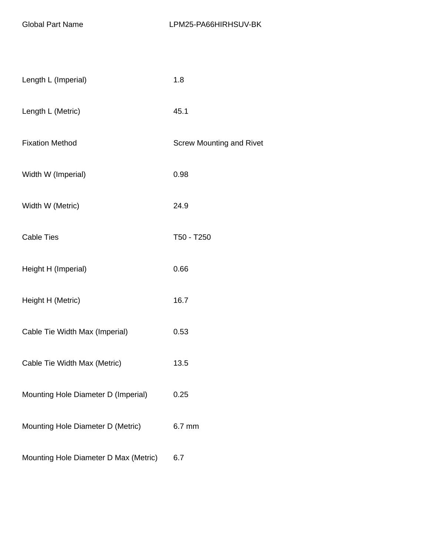| Length L (Imperial)                   | 1.8                             |
|---------------------------------------|---------------------------------|
| Length L (Metric)                     | 45.1                            |
| <b>Fixation Method</b>                | <b>Screw Mounting and Rivet</b> |
| Width W (Imperial)                    | 0.98                            |
| Width W (Metric)                      | 24.9                            |
| <b>Cable Ties</b>                     | T50 - T250                      |
| Height H (Imperial)                   | 0.66                            |
| Height H (Metric)                     | 16.7                            |
| Cable Tie Width Max (Imperial)        | 0.53                            |
| Cable Tie Width Max (Metric)          | 13.5                            |
| Mounting Hole Diameter D (Imperial)   | 0.25                            |
| Mounting Hole Diameter D (Metric)     | 6.7 mm                          |
| Mounting Hole Diameter D Max (Metric) | 6.7                             |